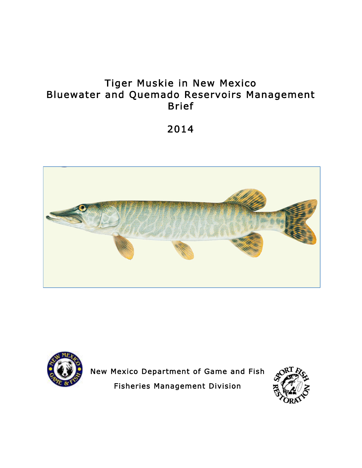# Tiger Muskie in New Mexico Bluewater and Quemado Reservoirs Management Brief

2014





New Mexico Department of Game and Fish Fisheries Management Division

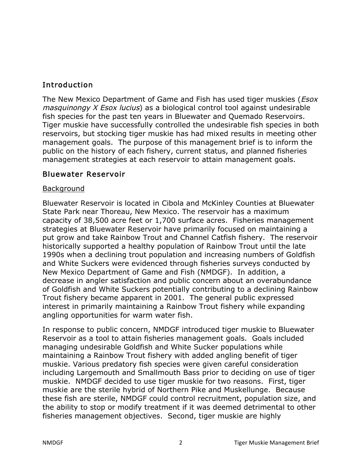## Introduction

The New Mexico Department of Game and Fish has used tiger muskies (*Esox*) masquinongy X Esox lucius) as a biological control tool against undesirable fish species for the past ten years in Bluewater and Quemado Reservoirs. Tiger muskie have successfully controlled the undesirable fish species in both reservoirs, but stocking tiger muskie has had mixed results in meeting other management goals. The purpose of this management brief is to inform the public on the history of each fishery, current status, and planned fisheries management strategies at each reservoir to attain management goals.

#### Bluewater Reservoir

#### Background

Bluewater Reservoir is located in Cibola and McKinley Counties at Bluewater State Park near Thoreau, New Mexico. The reservoir has a maximum capacity of 38,500 acre feet or 1,700 surface acres. Fisheries management strategies at Bluewater Reservoir have primarily focused on maintaining a put grow and take Rainbow Trout and Channel Catfish fishery. The reservoir historically supported a healthy population of Rainbow Trout until the late 1990s when a declining trout population and increasing numbers of Goldfish and White Suckers were evidenced through fisheries surveys conducted by New Mexico Department of Game and Fish (NMDGF). In addition, a decrease in angler satisfaction and public concern about an overabundance of Goldfish and White Suckers potentially contributing to a declining Rainbow Trout fishery became apparent in 2001. The general public expressed interest in primarily maintaining a Rainbow Trout fishery while expanding angling opportunities for warm water fish.

In response to public concern, NMDGF introduced tiger muskie to Bluewater Reservoir as a tool to attain fisheries management goals. Goals included managing undesirable Goldfish and White Sucker populations while maintaining a Rainbow Trout fishery with added angling benefit of tiger muskie. Various predatory fish species were given careful consideration including Largemouth and Smallmouth Bass prior to deciding on use of tiger muskie. NMDGF decided to use tiger muskie for two reasons. First, tiger muskie are the sterile hybrid of Northern Pike and Muskellunge. Because these fish are sterile, NMDGF could control recruitment, population size, and the ability to stop or modify treatment if it was deemed detrimental to other fisheries management objectives. Second, tiger muskie are highly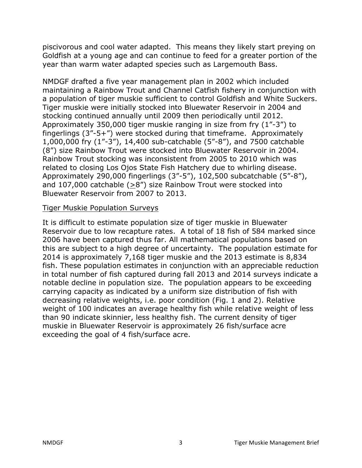piscivorous and cool water adapted. This means they likely start preying on Goldfish at a young age and can continue to feed for a greater portion of the year than warm water adapted species such as Largemouth Bass.

NMDGF drafted a five year management plan in 2002 which included maintaining a Rainbow Trout and Channel Catfish fishery in conjunction with a population of tiger muskie sufficient to control Goldfish and White Suckers. Tiger muskie were initially stocked into Bluewater Reservoir in 2004 and stocking continued annually until 2009 then periodically until 2012. Approximately 350,000 tiger muskie ranging in size from fry (1"-3") to fingerlings (3"-5+") were stocked during that timeframe. Approximately 1,000,000 fry (1"-3"), 14,400 sub-catchable (5"-8"), and 7500 catchable (8") size Rainbow Trout were stocked into Bluewater Reservoir in 2004. Rainbow Trout stocking was inconsistent from 2005 to 2010 which was related to closing Los Ojos State Fish Hatchery due to whirling disease. Approximately 290,000 fingerlings (3"-5"), 102,500 subcatchable (5"-8"), and 107,000 catchable (>8") size Rainbow Trout were stocked into Bluewater Reservoir from 2007 to 2013.

#### Tiger Muskie Population Surveys

It is difficult to estimate population size of tiger muskie in Bluewater Reservoir due to low recapture rates. A total of 18 fish of 584 marked since 2006 have been captured thus far. All mathematical populations based on this are subject to a high degree of uncertainty. The population estimate for 2014 is approximately 7,168 tiger muskie and the 2013 estimate is 8,834 fish. These population estimates in conjunction with an appreciable reduction in total number of fish captured during fall 2013 and 2014 surveys indicate a notable decline in population size. The population appears to be exceeding carrying capacity as indicated by a uniform size distribution of fish with decreasing relative weights, i.e. poor condition (Fig. 1 and 2). Relative weight of 100 indicates an average healthy fish while relative weight of less than 90 indicate skinnier, less healthy fish. The current density of tiger muskie in Bluewater Reservoir is approximately 26 fish/surface acre exceeding the goal of 4 fish/surface acre.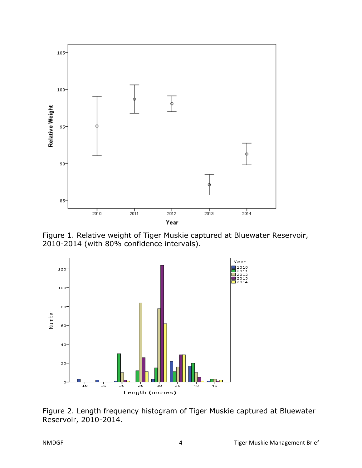

Figure 1. Relative weight of Tiger Muskie captured at Bluewater Reservoir, 2010-2014 (with 80% confidence intervals).



Figure 2. Length frequency histogram of Tiger Muskie captured at Bluewater Reservoir, 2010-2014.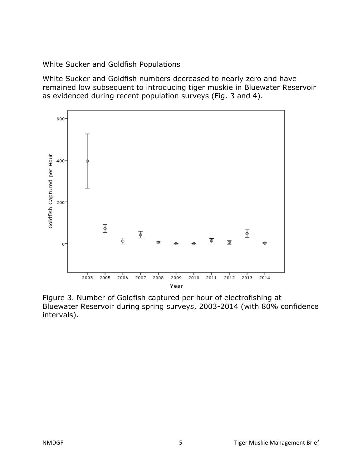White Sucker and Goldfish Populations

White Sucker and Goldfish numbers decreased to nearly zero and have remained low subsequent to introducing tiger muskie in Bluewater Reservoir as evidenced during recent population surveys (Fig. 3 and 4).



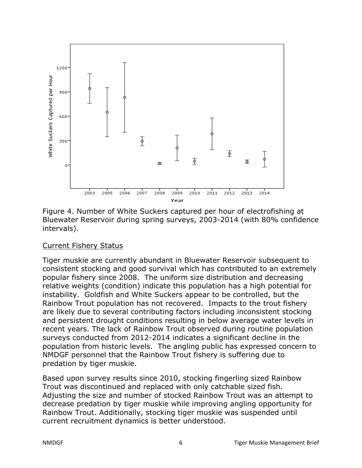

Figure 4. Number of White Suckers captured per hour of electrofishing at Bluewater Reservoir during spring surveys, 2003-2014 (with 80% confidence intervals).

#### Current Fishery Status

Tiger muskie are currently abundant in Bluewater Reservoir subsequent to consistent stocking and good survival which has contributed to an extremely popular fishery since 2008. The uniform size distribution and decreasing relative weights (condition) indicate this population has a high potential for instability. Goldfish and White Suckers appear to be controlled, but the Rainbow Trout population has not recovered. Impacts to the trout fishery are likely due to several contributing factors including inconsistent stocking and persistent drought conditions resulting in below average water levels in recent years. The lack of Rainbow Trout observed during routine population surveys conducted from 2012-2014 indicates a significant decline in the population from historic levels. The angling public has expressed concern to NMDGF personnel that the Rainbow Trout fishery is suffering due to predation by tiger muskie.

Based upon survey results since 2010, stocking fingerling sized Rainbow Trout was discontinued and replaced with only catchable sized fish. Adjusting the size and number of stocked Rainbow Trout was an attempt to decrease predation by tiger muskie while improving angling opportunity for Rainbow Trout. Additionally, stocking tiger muskie was suspended until current recruitment dynamics is better understood.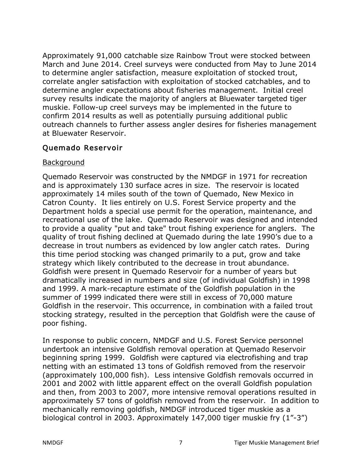Approximately 91,000 catchable size Rainbow Trout were stocked between March and June 2014. Creel surveys were conducted from May to June 2014 to determine angler satisfaction, measure exploitation of stocked trout, correlate angler satisfaction with exploitation of stocked catchables, and to determine angler expectations about fisheries management. Initial creel survey results indicate the majority of anglers at Bluewater targeted tiger muskie. Follow-up creel surveys may be implemented in the future to confirm 2014 results as well as potentially pursuing additional public outreach channels to further assess angler desires for fisheries management at Bluewater Reservoir.

## Quemado Reservoir

#### Background

Quemado Reservoir was constructed by the NMDGF in 1971 for recreation and is approximately 130 surface acres in size. The reservoir is located approximately 14 miles south of the town of Quemado, New Mexico in Catron County. It lies entirely on U.S. Forest Service property and the Department holds a special use permit for the operation, maintenance, and recreational use of the lake. Quemado Reservoir was designed and intended to provide a quality "put and take" trout fishing experience for anglers. The quality of trout fishing declined at Quemado during the late 1990's due to a decrease in trout numbers as evidenced by low angler catch rates. During this time period stocking was changed primarily to a put, grow and take strategy which likely contributed to the decrease in trout abundance. Goldfish were present in Quemado Reservoir for a number of years but dramatically increased in numbers and size (of individual Goldfish) in 1998 and 1999. A mark-recapture estimate of the Goldfish population in the summer of 1999 indicated there were still in excess of 70,000 mature Goldfish in the reservoir. This occurrence, in combination with a failed trout stocking strategy, resulted in the perception that Goldfish were the cause of poor fishing.

In response to public concern, NMDGF and U.S. Forest Service personnel undertook an intensive Goldfish removal operation at Quemado Reservoir beginning spring 1999. Goldfish were captured via electrofishing and trap netting with an estimated 13 tons of Goldfish removed from the reservoir (approximately 100,000 fish). Less intensive Goldfish removals occurred in 2001 and 2002 with little apparent effect on the overall Goldfish population and then, from 2003 to 2007, more intensive removal operations resulted in approximately 57 tons of goldfish removed from the reservoir. In addition to mechanically removing goldfish, NMDGF introduced tiger muskie as a biological control in 2003. Approximately 147,000 tiger muskie fry (1"-3")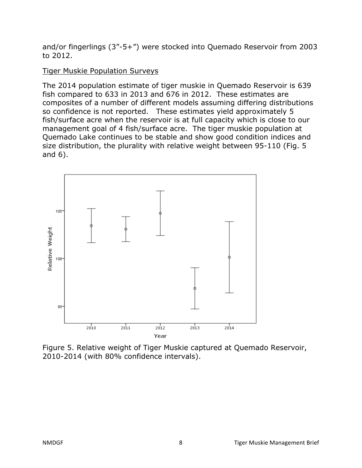and/or fingerlings (3"-5+") were stocked into Quemado Reservoir from 2003 to 2012.

## Tiger Muskie Population Surveys

The 2014 population estimate of tiger muskie in Quemado Reservoir is 639 fish compared to 633 in 2013 and 676 in 2012. These estimates are composites of a number of different models assuming differing distributions so confidence is not reported. These estimates yield approximately 5 fish/surface acre when the reservoir is at full capacity which is close to our management goal of 4 fish/surface acre. The tiger muskie population at Quemado Lake continues to be stable and show good condition indices and size distribution, the plurality with relative weight between 95-110 (Fig. 5 and 6).



Figure 5. Relative weight of Tiger Muskie captured at Quemado Reservoir, 2010-2014 (with 80% confidence intervals).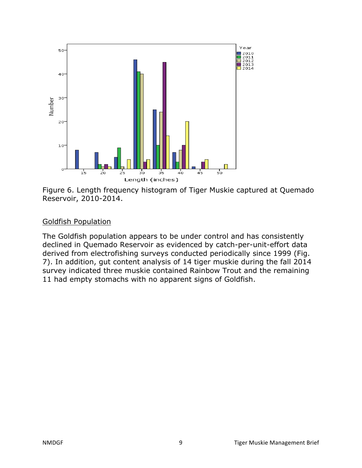

Figure 6. Length frequency histogram of Tiger Muskie captured at Quemado Reservoir, 2010-2014.

## Goldfish Population

The Goldfish population appears to be under control and has consistently declined in Quemado Reservoir as evidenced by catch-per-unit-effort data derived from electrofishing surveys conducted periodically since 1999 (Fig. 7). In addition, gut content analysis of 14 tiger muskie during the fall 2014 survey indicated three muskie contained Rainbow Trout and the remaining 11 had empty stomachs with no apparent signs of Goldfish.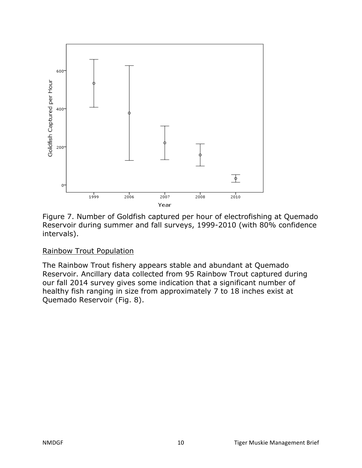

Figure 7. Number of Goldfish captured per hour of electrofishing at Quemado Reservoir during summer and fall surveys, 1999-2010 (with 80% confidence intervals).

## Rainbow Trout Population

The Rainbow Trout fishery appears stable and abundant at Quemado Reservoir. Ancillary data collected from 95 Rainbow Trout captured during our fall 2014 survey gives some indication that a significant number of healthy fish ranging in size from approximately 7 to 18 inches exist at Quemado Reservoir (Fig. 8).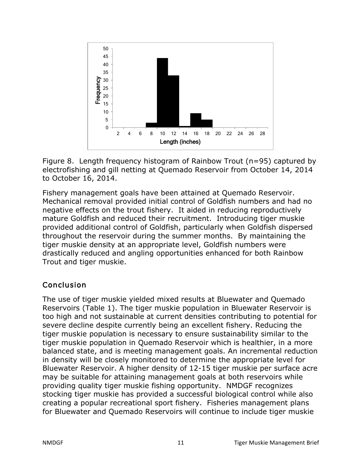

Figure 8. Length frequency histogram of Rainbow Trout (n=95) captured by electrofishing and gill netting at Quemado Reservoir from October 14, 2014 to October 16, 2014.

Fishery management goals have been attained at Quemado Reservoir. Mechanical removal provided initial control of Goldfish numbers and had no negative effects on the trout fishery. It aided in reducing reproductively mature Goldfish and reduced their recruitment. Introducing tiger muskie provided additional control of Goldfish, particularly when Goldfish dispersed throughout the reservoir during the summer months. By maintaining the tiger muskie density at an appropriate level, Goldfish numbers were drastically reduced and angling opportunities enhanced for both Rainbow Trout and tiger muskie.

# Conclusion

The use of tiger muskie yielded mixed results at Bluewater and Quemado Reservoirs (Table 1). The tiger muskie population in Bluewater Reservoir is too high and not sustainable at current densities contributing to potential for severe decline despite currently being an excellent fishery. Reducing the tiger muskie population is necessary to ensure sustainability similar to the tiger muskie population in Quemado Reservoir which is healthier, in a more balanced state, and is meeting management goals. An incremental reduction in density will be closely monitored to determine the appropriate level for Bluewater Reservoir. A higher density of 12-15 tiger muskie per surface acre may be suitable for attaining management goals at both reservoirs while providing quality tiger muskie fishing opportunity. NMDGF recognizes stocking tiger muskie has provided a successful biological control while also creating a popular recreational sport fishery. Fisheries management plans for Bluewater and Quemado Reservoirs will continue to include tiger muskie